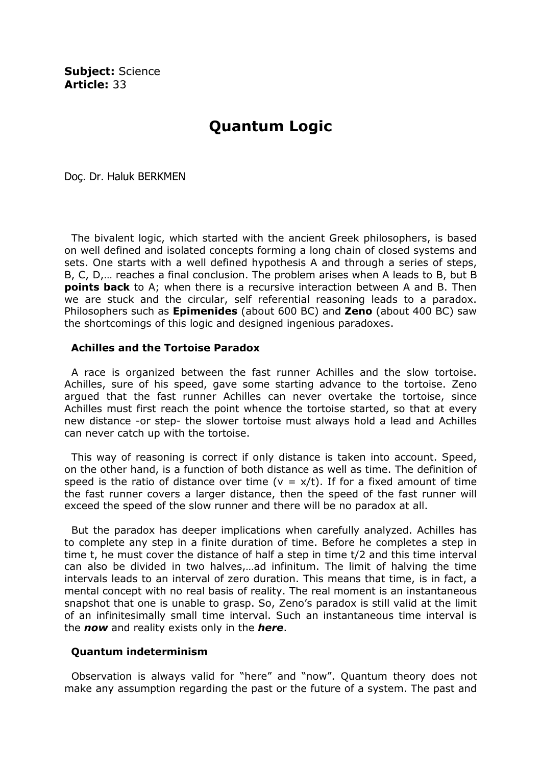Subiect: Science Article: 33

## Quantum Logic

Doç. Dr. Haluk BERKMEN

 The bivalent logic, which started with the ancient Greek philosophers, is based on well defined and isolated concepts forming a long chain of closed systems and sets. One starts with a well defined hypothesis A and through a series of steps, B, C, D,… reaches a final conclusion. The problem arises when A leads to B, but B **points back** to A; when there is a recursive interaction between A and B. Then we are stuck and the circular, self referential reasoning leads to a paradox. Philosophers such as **Epimenides** (about 600 BC) and **Zeno** (about 400 BC) saw the shortcomings of this logic and designed ingenious paradoxes.

## Achilles and the Tortoise Paradox

 A race is organized between the fast runner Achilles and the slow tortoise. Achilles, sure of his speed, gave some starting advance to the tortoise. Zeno argued that the fast runner Achilles can never overtake the tortoise, since Achilles must first reach the point whence the tortoise started, so that at every new distance -or step- the slower tortoise must always hold a lead and Achilles can never catch up with the tortoise.

 This way of reasoning is correct if only distance is taken into account. Speed, on the other hand, is a function of both distance as well as time. The definition of speed is the ratio of distance over time ( $v = x/t$ ). If for a fixed amount of time the fast runner covers a larger distance, then the speed of the fast runner will exceed the speed of the slow runner and there will be no paradox at all.

 But the paradox has deeper implications when carefully analyzed. Achilles has to complete any step in a finite duration of time. Before he completes a step in time t, he must cover the distance of half a step in time t/2 and this time interval can also be divided in two halves,…ad infinitum. The limit of halving the time intervals leads to an interval of zero duration. This means that time, is in fact, a mental concept with no real basis of reality. The real moment is an instantaneous snapshot that one is unable to grasp. So, Zeno's paradox is still valid at the limit of an infinitesimally small time interval. Such an instantaneous time interval is the **now** and reality exists only in the **here**.

## Quantum indeterminism

 Observation is always valid for "here" and "now". Quantum theory does not make any assumption regarding the past or the future of a system. The past and